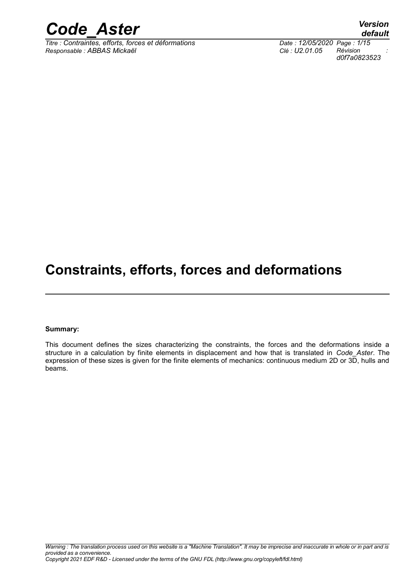

 $\overline{T}$ *Titre : Contraintes, efforts, forces et déformations Responsable : ABBAS Mickaël Clé : U2.01.05 Révision :*

*default d0f7a0823523*

## **Constraints, efforts, forces and deformations**

#### **Summary:**

This document defines the sizes characterizing the constraints, the forces and the deformations inside a structure in a calculation by finite elements in displacement and how that is translated in *Code\_Aster*. The expression of these sizes is given for the finite elements of mechanics: continuous medium 2D or 3D, hulls and beams.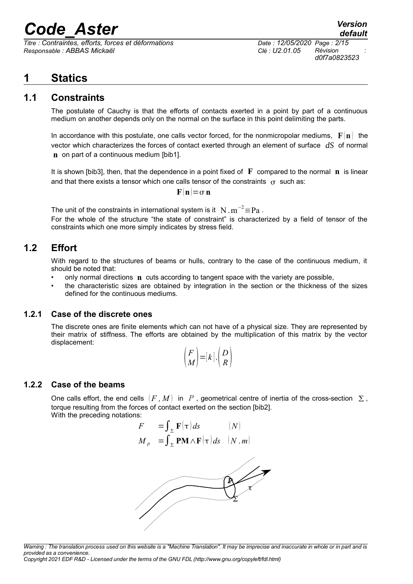$\overline{T}$ itre : Contraintes, efforts, forces et déformations *Responsable : ABBAS Mickaël Clé : U2.01.05 Révision :*

*d0f7a0823523*

## **1 Statics**

### **1.1 Constraints**

The postulate of Cauchy is that the efforts of contacts exerted in a point by part of a continuous medium on another depends only on the normal on the surface in this point delimiting the parts.

In accordance with this postulate, one calls vector forced, for the nonmicropolar mediums,  $\mathbf{F}(\mathbf{n})$  the vector which characterizes the forces of contact exerted through an element of surface *dS* of normal **n** on part of a continuous medium [bib1].

It is shown [bib3], then, that the dependence in a point fixed of **F** compared to the normal **n** is linear and that there exists a tensor which one calls tensor of the constraints  $\sigma$  such as:

$$
\mathbf{F}(\mathbf{n})\mathbf{=}\sigma\mathbf{n}
$$

The unit of the constraints in international system is it  $\,$  N  $\,$  m $^{-2}$   $\equiv$   $\rm{Pa}$  .

For the whole of the structure "the state of constraint" is characterized by a field of tensor of the constraints which one more simply indicates by stress field.

### **1.2 Effort**

With regard to the structures of beams or hulls, contrary to the case of the continuous medium, it should be noted that:

- only normal directions **n** cuts according to tangent space with the variety are possible,
- the characteristic sizes are obtained by integration in the section or the thickness of the sizes defined for the continuous mediums.

#### **1.2.1 Case of the discrete ones**

The discrete ones are finite elements which can not have of a physical size. They are represented by their matrix of stiffness. The efforts are obtained by the multiplication of this matrix by the vector displacement:

$$
\binom{F}{M} = [k] \cdot \binom{D}{R}
$$

#### **1.2.2 Case of the beams**

One calls effort, the end cells  $(F, M)$  in P, geometrical centre of inertia of the cross-section  $\Sigma$ , torque resulting from the forces of contact exerted on the section [bib2]. With the preceding notations:

$$
F = \int_{\Sigma} \mathbf{F}(\tau) ds \qquad (N)
$$
  

$$
M_{p} = \int_{\Sigma} \mathbf{P} \mathbf{M} \wedge \mathbf{F}(\tau) ds \quad (N. m)
$$



*Warning : The translation process used on this website is a "Machine Translation". It may be imprecise and inaccurate in whole or in part and is provided as a convenience.*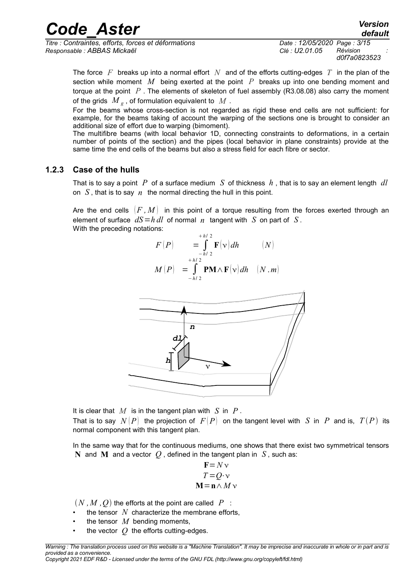*Titre : Contraintes, efforts, forces et déformations Date : 12/05/2020 Page : 3/15 Responsable : ABBAS Mickaël Clé : U2.01.05 Révision :*

*d0f7a0823523*

The force *F* breaks up into a normal effort *N* and of the efforts cutting-edges *T* in the plan of the section while moment *M* being exerted at the point *P* breaks up into one bending moment and torque at the point *P* . The elements of skeleton of fuel assembly (R3.08.08) also carry the moment of the grids  $\left. M\right. _{s}$  , of formulation equivalent to  $\left. M\right.$  .

For the beams whose cross-section is not regarded as rigid these end cells are not sufficient: for example, for the beams taking of account the warping of the sections one is brought to consider an additional size of effort due to warping (bimoment).

The multifibre beams (with local behavior 1D, connecting constraints to deformations, in a certain number of points of the section) and the pipes (local behavior in plane constraints) provide at the same time the end cells of the beams but also a stress field for each fibre or sector.

#### **1.2.3 Case of the hulls**

That is to say a point *P* of a surface medium *S* of thickness *h* , that is to say an element length *dl* on  $S$ , that is to say  $n$  the normal directing the hull in this point.

Are the end cells  $(F, M)$  in this point of a torque resulting from the forces exerted through an element of surface  $dS = h \, dl$  of normal  $n$  tangent with *S* on part of *S*. With the preceding notations: *h* / 2

$$
F(P) = \int_{-h/2}^{+h/2} \mathbf{F}(\mathbf{v}) dh \qquad (N)
$$
  

$$
M(P) = \int_{-h/2}^{+h/2} \mathbf{P} \mathbf{M} \wedge \mathbf{F}(\mathbf{v}) dh \qquad (N. m)
$$



It is clear that *M* is in the tangent plan with *S* in *P* . That is to say  $N(P)$  the projection of  $F(P)$  on the tangent level with *S* in *P* and is,  $T(P)$  its normal component with this tangent plan.

In the same way that for the continuous mediums, one shows that there exist two symmetrical tensors **N** and **M** and a vector  $Q$ , defined in the tangent plan in  $S$ , such as:

$$
\mathbf{F} = N \mathbf{v}
$$
  

$$
T = Q \mathbf{v}
$$
  

$$
\mathbf{M} = \mathbf{n} \wedge M \mathbf{v}
$$

 $(N, M, Q)$  the efforts at the point are called  $P$ :

- the tensor  $N$  characterize the membrane efforts,
- the tensor  $M$  bending moments.
- the vector  $O$  the efforts cutting-edges.

*default*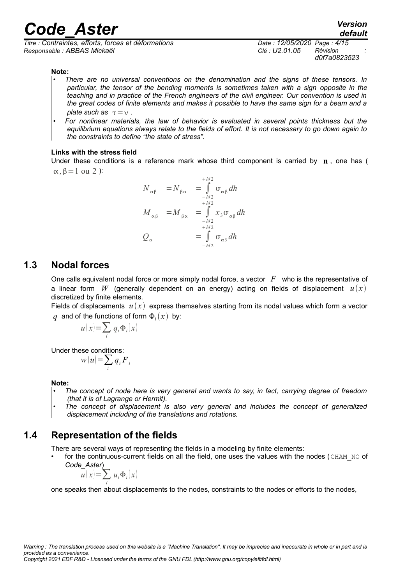*Titre : Contraintes, efforts, forces et déformations Date : 12/05/2020 Page : 4/15 Responsable : ABBAS Mickaël Clé : U2.01.05 Révision :*

*default d0f7a0823523*

#### **Note:**

- *• There are no universal conventions on the denomination and the signs of these tensors. In particular, the tensor of the bending moments is sometimes taken with a sign opposite in the teaching and in practice of the French engineers of the civil engineer. Our convention is used in the great codes of finite elements and makes it possible to have the same sign for a beam and a plate such as*  $\tau = v$ .
- *• For nonlinear materials, the law of behavior is evaluated in several points thickness but the equilibrium equations always relate to the fields of effort. It is not necessary to go down again to the constraints to define "the state of stress".*

#### **Links with the stress field**

Under these conditions is a reference mark whose third component is carried by **n** , one has (  $\alpha$ ,  $\beta$  = 1 ou 2 ):

$$
N_{\alpha\beta} = N_{\beta\alpha} = \int_{-h/2}^{+h/2} \sigma_{\alpha\beta} dh
$$
  

$$
M_{\alpha\beta} = M_{\beta\alpha} = \int_{-h/2}^{+h/2} x_3 \sigma_{\alpha\beta} dh
$$
  

$$
Q_{\alpha} = \int_{-h/2}^{+h/2} \sigma_{\alpha3} dh
$$

#### **1.3 Nodal forces**

One calls equivalent nodal force or more simply nodal force, a vector *F* who is the representative of a linear form W (generally dependent on an energy) acting on fields of displacement  $u(x)$ discretized by finite elements.

Fields of displacements  $u(x)$  express themselves starting from its nodal values which form a vector  $q$  and of the functions of form  $\Phi_i(x)$  by:

$$
u(x) = \sum_{i} q_i \Phi_i(x)
$$

Under these conditions:

$$
w(u) = \sum_i q_i F_i
$$

**Note:**

- *The concept of node here is very general and wants to say, in fact, carrying degree of freedom (that it is of Lagrange or Hermit).*
- *• The concept of displacement is also very general and includes the concept of generalized displacement including of the translations and rotations.*

#### **1.4 Representation of the fields**

There are several ways of representing the fields in a modeling by finite elements:

for the continuous-current fields on all the field, one uses the values with the nodes (CHAM\_NO of *Code\_Aster*)

$$
u(x) = \sum_{i} u_i \Phi_i(x)
$$

one speaks then about displacements to the nodes, constraints to the nodes or efforts to the nodes,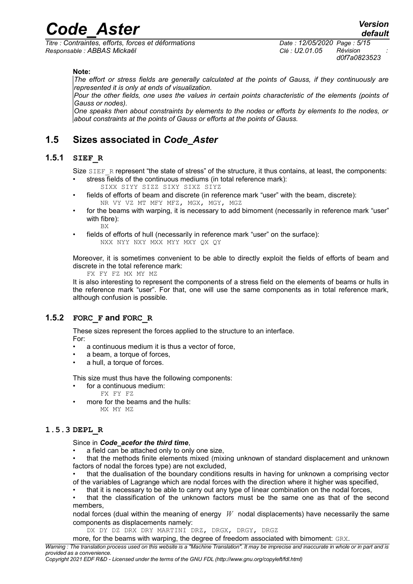*Titre : Contraintes, efforts, forces et déformations Date : 12/05/2020 Page : 5/15 Responsable : ABBAS Mickaël Clé : U2.01.05 Révision :*

*d0f7a0823523*

**Note:**

*The effort or stress fields are generally calculated at the points of Gauss, if they continuously are represented it is only at ends of visualization.*

*Pour the other fields, one uses the values in certain points characteristic of the elements (points of Gauss or nodes).*

*One speaks then about constraints by elements to the nodes or efforts by elements to the nodes, or about constraints at the points of Gauss or efforts at the points of Gauss.*

### **1.5 Sizes associated in** *Code\_Aster*

#### **1.5.1 SIEF\_R**

Size SIEF\_R represent "the state of stress" of the structure, it thus contains, at least, the components: stress fields of the continuous mediums (in total reference mark):

- SIXX SIYY SIZZ SIXY SIXZ SIYZ
- fields of efforts of beam and discrete (in reference mark "user" with the beam, discrete): NR VY VZ MT MFY MFZ, MGX, MGY, MGZ
- for the beams with warping, it is necessary to add bimoment (necessarily in reference mark "user" with fibre): **BX**
- fields of efforts of hull (necessarily in reference mark "user" on the surface): NXX NYY NXY MXX MYY MXY QX QY

Moreover, it is sometimes convenient to be able to directly exploit the fields of efforts of beam and discrete in the total reference mark:

FX FY FZ MX MY MZ

It is also interesting to represent the components of a stress field on the elements of beams or hulls in the reference mark "user". For that, one will use the same components as in total reference mark, although confusion is possible.

#### **1.5.2 FORC\_F and FORC\_R**

These sizes represent the forces applied to the structure to an interface.

For:

- a continuous medium it is thus a vector of force,
- a beam, a torque of forces,
- a hull, a torque of forces.

This size must thus have the following components:

- for a continuous medium:
	- FX FY FZ
- more for the beams and the hulls: MX MY MZ

#### **1.5.3 DEPL\_R**

Since in *Code\_acefor the third time*,

a field can be attached only to only one size,

• that the methods finite elements mixed (mixing unknown of standard displacement and unknown factors of nodal the forces type) are not excluded,

that the dualisation of the boundary conditions results in having for unknown a comprising vector of the variables of Lagrange which are nodal forces with the direction where it higher was specified,

• that it is necessary to be able to carry out any type of linear combination on the nodal forces,

• that the classification of the unknown factors must be the same one as that of the second members,

nodal forces (dual within the meaning of energy *W* nodal displacements) have necessarily the same components as displacements namely:

DX DY DZ DRX DRY MARTINI DRZ, DRGX, DRGY, DRGZ

more, for the beams with warping, the degree of freedom associated with bimoment: GRX.

*Warning : The translation process used on this website is a "Machine Translation". It may be imprecise and inaccurate in whole or in part and is provided as a convenience.*

*Copyright 2021 EDF R&D - Licensed under the terms of the GNU FDL (http://www.gnu.org/copyleft/fdl.html)*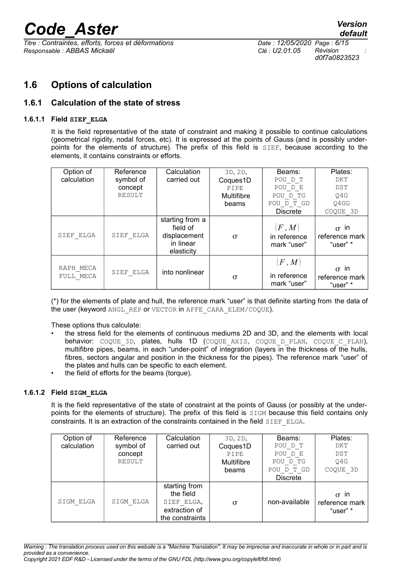$\overline{T}$ itre : Contraintes, efforts, forces et déformations *Responsable : ABBAS Mickaël Clé : U2.01.05 Révision :*

*d0f7a0823523*

## **1.6 Options of calculation**

#### **1.6.1 Calculation of the state of stress**

#### **1.6.1.1 Field SIEF\_ELGA**

It is the field representative of the state of constraint and making it possible to continue calculations (geometrical rigidity, nodal forces, etc). It is expressed at the points of Gauss (and is possibly underpoints for the elements of structure). The prefix of this field is SIEF, because according to the elements, it contains constraints or efforts.

| Option of              | Reference | Calculation                                                            | 3D, 2D,    | Beams:                              | Plates:                                      |
|------------------------|-----------|------------------------------------------------------------------------|------------|-------------------------------------|----------------------------------------------|
| calculation            | symbol of | carried out                                                            | Coques1D   | POU D T                             | DKT                                          |
|                        | concept   |                                                                        | PIPE       | POU D E                             | <b>DST</b>                                   |
|                        | RESULT    |                                                                        | Multifibre | POU D TG                            | O4G                                          |
|                        |           |                                                                        | beams      | POU D T GD                          | Q4GG                                         |
|                        |           |                                                                        |            | <b>Discrete</b>                     | COQUE 3D                                     |
| SIEF ELGA              | SIEF ELGA | starting from a<br>field of<br>displacement<br>in linear<br>elasticity | $\sigma$   | F, M<br>in reference<br>mark "user" | $\sigma$ in<br>reference mark<br>"user" *    |
| RAPH MECA<br>FULL MECA | SIEF ELGA | into nonlinear                                                         | $\sigma$   | F, M<br>in reference<br>mark "user" | in<br>$\sigma$<br>reference mark<br>"user" * |

(\*) for the elements of plate and hull, the reference mark "user" is that definite starting from the data of the user (keyword ANGL\_REP or VECTOR in AFFE\_CARA\_ELEM/COOUE).

These options thus calculate:

- the stress field for the elements of continuous mediums 2D and 3D, and the elements with local behavior: COQUE 3D, plates, hulls 1D (COQUE AXIS, COQUE D PLAN, COQUE C PLAN), multifibre pipes, beams, in each "under-point" of integration (layers in the thickness of the hulls, fibres, sectors angular and position in the thickness for the pipes). The reference mark "user" of the plates and hulls can be specific to each element.
- the field of efforts for the beams (torque).

#### **1.6.1.2 Field SIGM\_ELGA**

It is the field representative of the state of constraint at the points of Gauss (or possibly at the underpoints for the elements of structure). The prefix of this field is SIGM because this field contains only constraints. It is an extraction of the constraints contained in the field SIEF\_ELGA.

| Option of<br>calculation | Reference<br>symbol of<br>concept<br>RESULT | Calculation<br>carried out                                                   | 3D, 2D,<br>Coques1D<br>PIPE<br><b>Multifibre</b><br>beams | Beams:<br>POU D T<br>POU D E<br>POU D TG<br>POU D T GD<br><b>Discrete</b> | Plates:<br>DKT<br><b>DST</b><br>O4G<br>COQUE 3D |
|--------------------------|---------------------------------------------|------------------------------------------------------------------------------|-----------------------------------------------------------|---------------------------------------------------------------------------|-------------------------------------------------|
| SIGM ELGA                | SIGM ELGA                                   | starting from<br>the field<br>SIEF ELGA,<br>extraction of<br>the constraints | $\sigma$                                                  | non-available                                                             | in<br>$\sigma$<br>reference mark<br>"user" *    |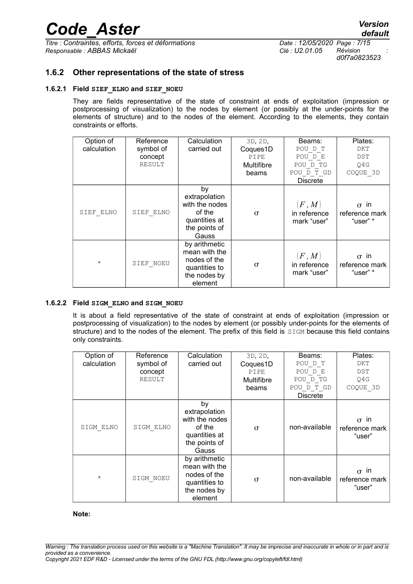$\overline{T}$ itre : Contraintes, efforts, forces et déformations *Responsable : ABBAS Mickaël Clé : U2.01.05 Révision :*

*d0f7a0823523*

#### **1.6.2 Other representations of the state of stress**

#### **1.6.2.1 Field SIEF\_ELNO and SIEF\_NOEU**

They are fields representative of the state of constraint at ends of exploitation (impression or postprocessing of visualization) to the nodes by element (or possibly at the under-points for the elements of structure) and to the nodes of the element. According to the elements, they contain constraints or efforts.

| Option of<br>calculation | Reference<br>symbol of<br>concept<br>RESULT | Calculation<br>carried out                                                                 | 3D, 2D,<br>Coques1D<br>PIPE<br>Multifibre<br>beams | Beams:<br>POU D T<br>POU D E<br>POU D TG<br>POU D T GD<br><b>Discrete</b> | Plates:<br>DKT<br>DST<br>Q4G<br>COQUE 3D  |
|--------------------------|---------------------------------------------|--------------------------------------------------------------------------------------------|----------------------------------------------------|---------------------------------------------------------------------------|-------------------------------------------|
| SIEF ELNO                | SIEF ELNO                                   | by<br>extrapolation<br>with the nodes<br>of the<br>quantities at<br>the points of<br>Gauss | $\sigma$                                           | F, M<br>in reference<br>mark "user"                                       | $\sigma$ in<br>reference mark<br>"user" * |
| $^{\star}$               | SIEF NOEU                                   | by arithmetic<br>mean with the<br>nodes of the<br>quantities to<br>the nodes by<br>element | $\sigma$                                           | $\left F\,,M\right\rangle$<br>in reference<br>mark "user"                 | $\sigma$ in<br>reference mark<br>"user" * |

#### **1.6.2.2 Field SIGM\_ELNO and SIGM\_NOEU**

It is about a field representative of the state of constraint at ends of exploitation (impression or postprocessing of visualization) to the nodes by element (or possibly under-points for the elements of structure) and to the nodes of the element. The prefix of this field is SIGM because this field contains only constraints.

| Option of<br>calculation | Reference<br>symbol of<br>concept<br>RESULT | Calculation<br>carried out                                                                 | 3D, 2D,<br>Coques1D<br>PIPE<br>Multifibre<br>beams | Beams:<br>POU D T<br>POU D E<br>POU D TG<br>POU D T GD<br><b>Discrete</b> | Plates:<br>DKT<br><b>DST</b><br>Q4G<br>COQUE 3D |
|--------------------------|---------------------------------------------|--------------------------------------------------------------------------------------------|----------------------------------------------------|---------------------------------------------------------------------------|-------------------------------------------------|
| SIGM ELNO                | SIGM ELNO                                   | by<br>extrapolation<br>with the nodes<br>of the<br>quantities at<br>the points of<br>Gauss | $\sigma$                                           | non-available                                                             | in<br>$\sigma$<br>reference mark<br>"user"      |
| $\star$                  | SIGM NOEU                                   | by arithmetic<br>mean with the<br>nodes of the<br>quantities to<br>the nodes by<br>element | $\sigma$                                           | non-available                                                             | in<br>$\sigma$<br>reference mark<br>"user"      |

#### **Note:**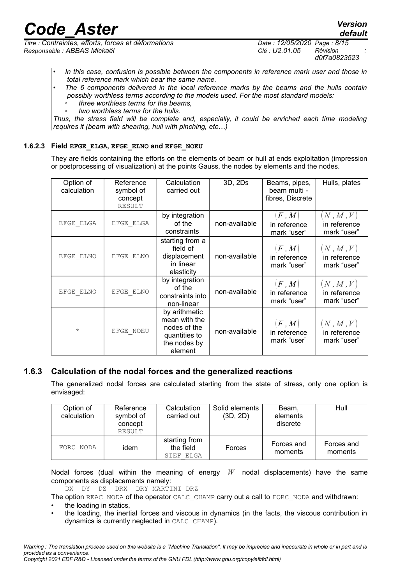*Titre : Contraintes, efforts, forces et déformations Date : 12/05/2020 Page : 8/15 Responsable : ABBAS Mickaël Clé : U2.01.05 Révision :*

*d0f7a0823523*

*default*

- *• In this case, confusion is possible between the components in reference mark user and those in total reference mark which bear the same name.*
- *The 6 components delivered in the local reference marks by the beams and the hulls contain possibly worthless terms according to the models used. For the most standard models:*
	- *◦ three worthless terms for the beams,*
	- *◦ two worthless terms for the hulls.*

*Thus, the stress field will be complete and, especially, it could be enriched each time modeling requires it (beam with shearing, hull with pinching, etc…)*

#### **1.6.2.3 Field EFGE\_ELGA, EFGE\_ELNO and EFGE\_NOEU**

They are fields containing the efforts on the elements of beam or hull at ends exploitation (impression or postprocessing of visualization) at the points Gauss, the nodes by elements and the nodes.

| Option of<br>calculation | Reference<br>symbol of<br>concept<br>RESULT | Calculation<br>carried out                                                                 | 3D, 2Ds       | Beams, pipes,<br>beam multi -<br>fibres, Discrete | Hulls, plates                                    |
|--------------------------|---------------------------------------------|--------------------------------------------------------------------------------------------|---------------|---------------------------------------------------|--------------------------------------------------|
| EFGE ELGA                | EFGE ELGA                                   | by integration<br>of the<br>constraints                                                    | non-available | F,M <br>in reference<br>mark "user"               | $(N$ , $M$ , $V)$<br>in reference<br>mark "user" |
| EFGE ELNO                | EFGE ELNO                                   | starting from a<br>field of<br>displacement<br>in linear<br>elasticity                     | non-available | F, M <br>in reference<br>mark "user"              | (N, M, V)<br>in reference<br>mark "user"         |
| EFGE ELNO                | EFGE ELNO                                   | by integration<br>of the<br>constraints into<br>non-linear                                 | non-available | (F, M)<br>in reference<br>mark "user"             | (N, M, V)<br>in reference<br>mark "user"         |
| $\star$                  | EFGE NOEU                                   | by arithmetic<br>mean with the<br>nodes of the<br>quantities to<br>the nodes by<br>element | non-available | F,M <br>in reference<br>mark "user"               | (N, M, V)<br>in reference<br>mark "user"         |

#### **1.6.3 Calculation of the nodal forces and the generalized reactions**

The generalized nodal forces are calculated starting from the state of stress, only one option is envisaged:

| Option of<br>calculation | Reference<br>symbol of<br>concept<br>RESULT | Calculation<br>carried out              | Solid elements<br>(3D, 2D) | Beam.<br>elements<br>discrete | Hull                  |
|--------------------------|---------------------------------------------|-----------------------------------------|----------------------------|-------------------------------|-----------------------|
| FORC NODA                | idem                                        | starting from<br>the field<br>SIEF ELGA | Forces                     | Forces and<br>moments         | Forces and<br>moments |

Nodal forces (dual within the meaning of energy *W* nodal displacements) have the same components as displacements namely:

DX DY DZ DRX DRY MARTINI DRZ

The option REAC\_NODA of the operator CALC\_CHAMP carry out a call to FORC\_NODA and withdrawn:

the loading in statics.

• the loading, the inertial forces and viscous in dynamics (in the facts, the viscous contribution in dynamics is currently neglected in CALC\_CHAMP).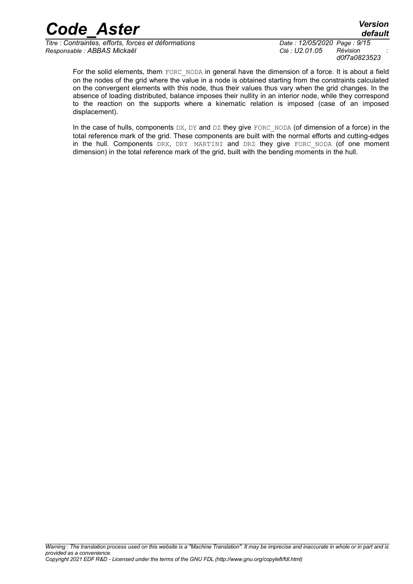$\overline{T}$ itre : Contraintes, efforts, forces et déformations *Responsable : ABBAS Mickaël Clé : U2.01.05 Révision :*

*d0f7a0823523*

For the solid elements, them FORC NODA in general have the dimension of a force. It is about a field on the nodes of the grid where the value in a node is obtained starting from the constraints calculated on the convergent elements with this node, thus their values thus vary when the grid changes. In the absence of loading distributed, balance imposes their nullity in an interior node, while they correspond to the reaction on the supports where a kinematic relation is imposed (case of an imposed displacement).

In the case of hulls, components  $DX$ ,  $DY$  and  $DZ$  they give FORC\_NODA (of dimension of a force) in the total reference mark of the grid. These components are built with the normal efforts and cutting-edges in the hull. Components DRX, DRY MARTINI and DRZ they give FORC NODA (of one moment dimension) in the total reference mark of the grid, built with the bending moments in the hull.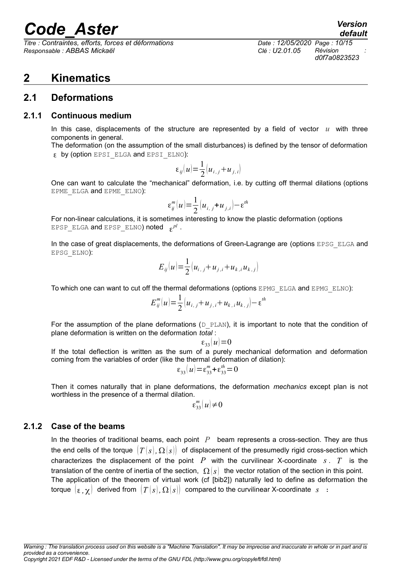*Titre : Contraintes, efforts, forces et déformations Date : 12/05/2020 Page : 10/15 Responsable : ABBAS Mickaël Clé : U2.01.05 Révision :*

# *default*

*d0f7a0823523*

## **2 Kinematics**

### **2.1 Deformations**

#### **2.1.1 Continuous medium**

In this case, displacements of the structure are represented by a field of vector *u* with three components in general.

The deformation (on the assumption of the small disturbances) is defined by the tensor of deformation by (option EPSI\_ELGA and EPSI\_ELNO):

$$
\varepsilon_{ij}(u) = \frac{1}{2} \left( u_{i,j} + u_{j,i} \right)
$$

One can want to calculate the "mechanical" deformation, i.e. by cutting off thermal dilations (options EPME\_ELGA and EPME\_ELNO):

$$
\varepsilon_{ij}^m(u) = \frac{1}{2} (u_{i,j} + u_{j,i}) - \varepsilon^{th}
$$

For non-linear calculations, it is sometimes interesting to know the plastic deformation (options  $\texttt{EPSP\_ELGA}$  and  $\texttt{EPSP\_ELNO}$  noted  $\texttt{\ } \varepsilon^{pl}$  .

In the case of great displacements, the deformations of Green-Lagrange are (options EPSG ELGA and EPSG\_ELNO):

$$
E_{ij}(u) = \frac{1}{2} \left( u_{i,j} + u_{j,i} + u_{k,i} u_{k,j} \right)
$$

To which one can want to cut off the thermal deformations (options EPMG\_ELGA and EPMG\_ELNO):

$$
E_{ij}^{m}(u) = \frac{1}{2} \left[ u_{i,j} + u_{j,i} + u_{k,i} u_{k,j} \right] - \varepsilon^{th}
$$

For the assumption of the plane deformations ( $D$  PLAN), it is important to note that the condition of plane deformation is written on the deformation *total* :

 $\varepsilon_{33}(u)=0$ 

If the total deflection is written as the sum of a purely mechanical deformation and deformation coming from the variables of order (like the thermal deformation of dilation):

$$
\varepsilon_{33}(u) = \varepsilon_{33}^{m} + \varepsilon_{33}^{th} = 0
$$

Then it comes naturally that in plane deformations, the deformation *mechanics* except plan is not worthless in the presence of a thermal dilation.

$$
\varepsilon_{33}^m(u)\neq 0
$$

#### **2.1.2 Case of the beams**

In the theories of traditional beams, each point *P* beam represents a cross-section. They are thus the end cells of the torque  $|T(s), \Omega(s)|$  of displacement of the presumedly rigid cross-section which characterizes the displacement of the point  $P$  with the curvilinear X-coordinate  $s$ .  $T$  is the translation of the centre of inertia of the section,  $\Omega(s)$  the vector rotation of the section in this point. The application of the theorem of virtual work (cf [bib2]) naturally led to define as deformation the torque  $\{ \varepsilon, \gamma \}$  derived from  $\{T(s), \Omega(s) \}$  compared to the curvilinear X-coordinate  $s :$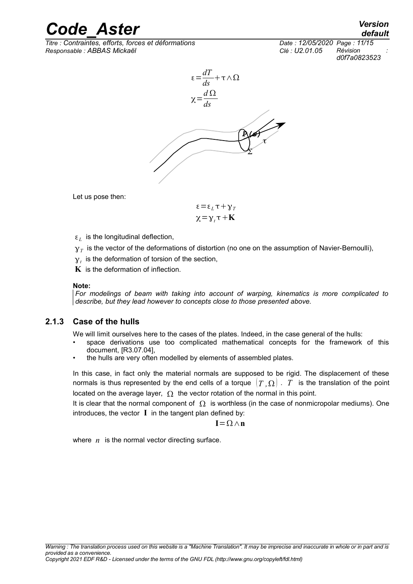*Titre : Contraintes, efforts, forces et déformations Date : 12/05/2020 Page : 11/15 Responsable : ABBAS Mickaël Clé : U2.01.05 Révision :*

*default d0f7a0823523*



Let us pose then:

$$
\varepsilon = \varepsilon_L \tau + \gamma_T
$$

$$
\chi = \gamma_t \tau + \mathbf{K}
$$

- $\varepsilon_L$  is the longitudinal deflection,
- $\gamma_{\scriptscriptstyle T}$  is the vector of the deformations of distortion (no one on the assumption of Navier-Bernoulli),
- $y_t$  is the deformation of torsion of the section,
- **K** is the deformation of inflection.

#### **Note:**

*For modelings of beam with taking into account of warping, kinematics is more complicated to describe, but they lead however to concepts close to those presented above.*

#### **2.1.3 Case of the hulls**

We will limit ourselves here to the cases of the plates. Indeed, in the case general of the hulls:

- space derivations use too complicated mathematical concepts for the framework of this document, [R3.07.04],
- the hulls are very often modelled by elements of assembled plates.

In this case, in fact only the material normals are supposed to be rigid. The displacement of these normals is thus represented by the end cells of a torque  $(T, \Omega)$ . T is the translation of the point located on the average layer,  $\Omega$  the vector rotation of the normal in this point.

It is clear that the normal component of  $\Omega$  is worthless (in the case of nonmicropolar mediums). One introduces, the vector **I** in the tangent plan defined by:

$$
I\!=\!\Omega\!\wedge\!n
$$

where  $n$  is the normal vector directing surface.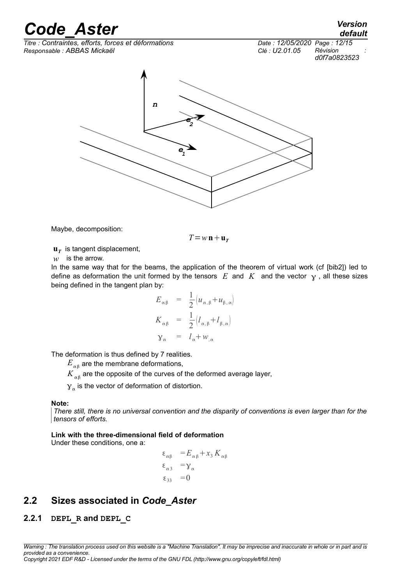$\overline{T}$ itre : Contraintes, efforts, forces et déformations *Responsable : ABBAS Mickaël Clé : U2.01.05 Révision :*



*d0f7a0823523*



Maybe, decomposition:

$$
T\!=\!w\,\mathbf{n}+\mathbf{u}_{\,T}
$$

**u***T* is tangent displacement,

*w* is the arrow.

In the same way that for the beams, the application of the theorem of virtual work (cf [bib2]) led to define as deformation the unit formed by the tensors  $E$  and  $K$  and the vector  $\gamma$ , all these sizes being defined in the tangent plan by:

$$
E_{\alpha\beta} = \frac{1}{2} [u_{\alpha,\beta} + u_{\beta,\alpha}]
$$
  
\n
$$
K_{\alpha\beta} = \frac{1}{2} [l_{\alpha,\beta} + l_{\beta,\alpha}]
$$
  
\n
$$
\gamma_{\alpha} = l_{\alpha} + w_{,\alpha}
$$

The deformation is thus defined by 7 realities.

 ${E}_{\alpha \beta}$  are the membrane deformations,

 $K_{_{\alpha\beta}}$  are the opposite of the curves of the deformed average layer,

 $\gamma_{\alpha}$  is the vector of deformation of distortion.

#### **Note:**

*There still, there is no universal convention and the disparity of conventions is even larger than for the tensors of efforts.*

#### **Link with the three-dimensional field of deformation**

Under these conditions, one a:

$$
\varepsilon_{\alpha\beta} = E_{\alpha\beta} + x_3 K_{\alpha\beta}
$$
  
\n
$$
\varepsilon_{\alpha3} = \gamma_{\alpha}
$$
  
\n
$$
\varepsilon_{33} = 0
$$

## **2.2 Sizes associated in** *Code\_Aster*

#### **2.2.1 DEPL\_R and DEPL\_C**

*Warning : The translation process used on this website is a "Machine Translation". It may be imprecise and inaccurate in whole or in part and is provided as a convenience. Copyright 2021 EDF R&D - Licensed under the terms of the GNU FDL (http://www.gnu.org/copyleft/fdl.html)*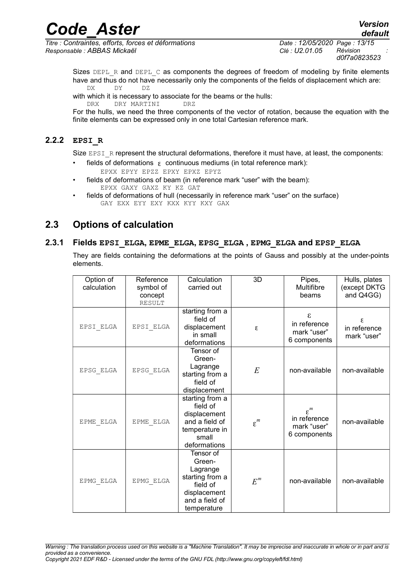*Titre : Contraintes, efforts, forces et déformations Date : 12/05/2020 Page : 13/15 Responsable : ABBAS Mickaël Clé : U2.01.05 Révision :*

*d0f7a0823523*

*default*

Sizes DEPL R and DEPL C as components the degrees of freedom of modeling by finite elements have and thus do not have necessarily only the components of the fields of displacement which are: DX DY DZ

with which it is necessary to associate for the beams or the hulls: DRX DRY MARTINI DRZ

For the hulls, we need the three components of the vector of rotation, because the equation with the finite elements can be expressed only in one total Cartesian reference mark.

#### **2.2.2 EPSI\_R**

Size EPSI\_R represent the structural deformations, therefore it must have, at least, the components:

- fields of deformations  $\epsilon$  continuous mediums (in total reference mark): EPXX EPYY EPZZ EPXY EPXZ EPYZ
- fields of deformations of beam (in reference mark "user" with the beam): EPXX GAXY GAXZ KY KZ GAT
- fields of deformations of hull (necessarily in reference mark "user" on the surface) GAY EXX EYY EXY KXX KYY KXY GAX

### **2.3 Options of calculation**

#### **2.3.1 Fields EPSI\_ELGA, EPME\_ELGA, EPSG\_ELGA , EPMG\_ELGA and EPSP\_ELGA**

They are fields containing the deformations at the points of Gauss and possibly at the under-points elements.

| Option of<br>calculation | Reference<br>symbol of<br>concept<br><b>RESULT</b> | Calculation<br>carried out                                                                                      | 3D              | Pipes,<br>Multifibre<br>beams                                  | Hulls, plates<br>(except DKTG<br>and Q4GG) |
|--------------------------|----------------------------------------------------|-----------------------------------------------------------------------------------------------------------------|-----------------|----------------------------------------------------------------|--------------------------------------------|
| EPSI ELGA                | $\texttt{EPSI\_ELGA}$                              | starting from a<br>field of<br>displacement<br>in small<br>deformations                                         | ε               | $\epsilon$<br>in reference<br>mark "user"<br>6 components      | ε<br>in reference<br>mark "user"           |
| ${\tt EPSG\_ELGA}$       | EPSG ELGA                                          | Tensor of<br>Green-<br>Lagrange<br>starting from a<br>field of<br>displacement                                  | E               | non-available                                                  | non-available                              |
| EPME ELGA                | EPME ELGA                                          | starting from a<br>field of<br>displacement<br>and a field of<br>temperature in<br>small<br>deformations        | $\varepsilon^m$ | $\varepsilon^m$<br>in reference<br>mark "user"<br>6 components | non-available                              |
| EPMG ELGA                | EPMG ELGA                                          | Tensor of<br>Green-<br>Lagrange<br>starting from a<br>field of<br>displacement<br>and a field of<br>temperature | $E^m$           | non-available                                                  | non-available                              |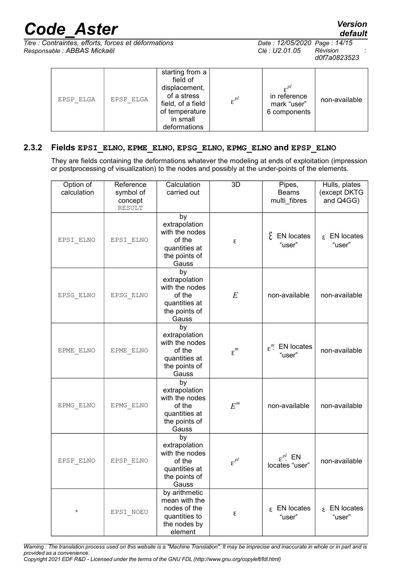*Titre : Contraintes, efforts, forces et déformations Date : 12/05/2020 Page : 14/15 Responsable : ABBAS Mickaël Clé : U2.01.05 Révision :*

| EPSP ELGA | EPSP ELGA | starting from a<br>field of<br>displacement,<br>of a stress<br>field, of a field<br>of temperature<br>in small<br>deformations | $\varepsilon^{pl}$ | $e^{pl}$<br>in reference<br>mark "user"<br>6 components | non-available |  |
|-----------|-----------|--------------------------------------------------------------------------------------------------------------------------------|--------------------|---------------------------------------------------------|---------------|--|
|-----------|-----------|--------------------------------------------------------------------------------------------------------------------------------|--------------------|---------------------------------------------------------|---------------|--|

#### **2.3.2 Fields EPSI\_ELNO, EPME\_ELNO, EPSG\_ELNO, EPMG\_ELNO and EPSP\_ELNO**

They are fields containing the deformations whatever the modeling at ends of exploitation (impression or postprocessing of visualization) to the nodes and possibly at the under-points of the elements.

| Option of<br>calculation | Reference<br>symbol of<br>concept<br><b>RESULT</b> | Calculation<br>carried out                                                                 | 3D                      | Pipes,<br><b>Beams</b><br>multi fibres  | Hulls, plates<br>(except DKTG<br>and Q4GG) |
|--------------------------|----------------------------------------------------|--------------------------------------------------------------------------------------------|-------------------------|-----------------------------------------|--------------------------------------------|
| EPSI ELNO                | EPSI ELNO                                          | by<br>extrapolation<br>with the nodes<br>of the<br>quantities at<br>the points of<br>Gauss | ε                       | $\mathcal{E}$ EN locates<br>"user"      | $\epsilon$ EN locates<br>"user"            |
| EPSG ELNO                | EPSG ELNO                                          | by<br>extrapolation<br>with the nodes<br>of the<br>quantities at<br>the points of<br>Gauss | $\cal E$                | non-available                           | non-available                              |
| EPME ELNO                | EPME ELNO                                          | by<br>extrapolation<br>with the nodes<br>of the<br>quantities at<br>the points of<br>Gauss | $\epsilon^{\textit{m}}$ | $\varepsilon^m$ . EN locates<br>"user"  | non-available                              |
| EPMG ELNO                | EPMG ELNO                                          | by<br>extrapolation<br>with the nodes<br>of the<br>quantities at<br>the points of<br>Gauss | $E^m$                   | non-available                           | non-available                              |
| EPSP ELNO                | EPSP ELNO                                          | by<br>extrapolation<br>with the nodes<br>of the<br>quantities at<br>the points of<br>Gauss | $\varepsilon^{pl}$      | $\varepsilon^{pl}$ EN<br>locates "user" | non-available                              |
| $^\star$                 | EPSI NOEU                                          | by arithmetic<br>mean with the<br>nodes of the<br>quantities to<br>the nodes by<br>element | ε                       | $E$ EN locates<br>"user"                | $\epsilon$ EN locates<br>"user"            |

*d0f7a0823523*

*default*